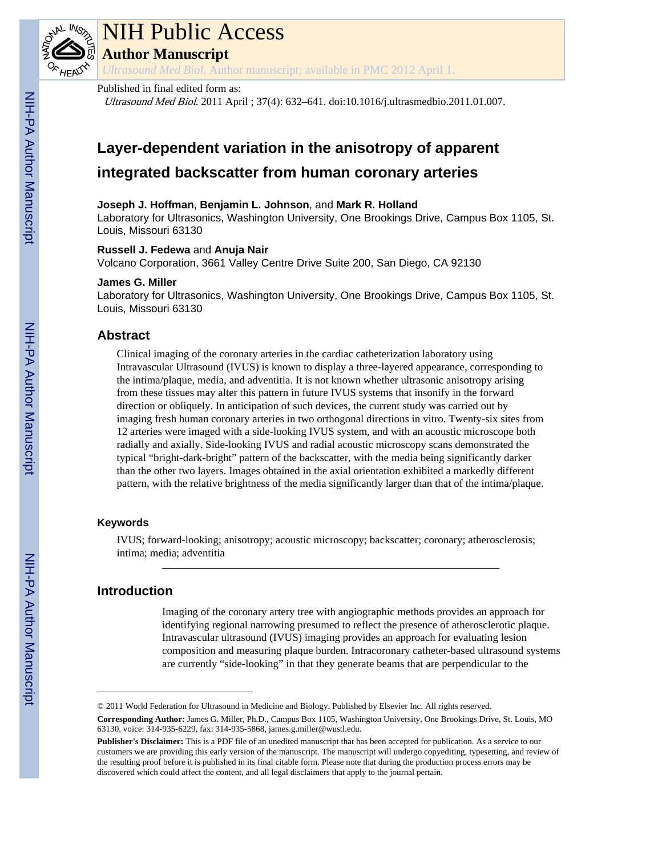

# NIH Public Access

**Author Manuscript**

*Ultrasound Med Biol*. Author manuscript; available in PMC 2012 April 1.

## Published in final edited form as:

Ultrasound Med Biol. 2011 April ; 37(4): 632–641. doi:10.1016/j.ultrasmedbio.2011.01.007.

## **Layer-dependent variation in the anisotropy of apparent integrated backscatter from human coronary arteries**

## **Joseph J. Hoffman**, **Benjamin L. Johnson**, and **Mark R. Holland**

Laboratory for Ultrasonics, Washington University, One Brookings Drive, Campus Box 1105, St. Louis, Missouri 63130

## **Russell J. Fedewa** and **Anuja Nair**

Volcano Corporation, 3661 Valley Centre Drive Suite 200, San Diego, CA 92130

#### **James G. Miller**

Laboratory for Ultrasonics, Washington University, One Brookings Drive, Campus Box 1105, St. Louis, Missouri 63130

## **Abstract**

Clinical imaging of the coronary arteries in the cardiac catheterization laboratory using Intravascular Ultrasound (IVUS) is known to display a three-layered appearance, corresponding to the intima/plaque, media, and adventitia. It is not known whether ultrasonic anisotropy arising from these tissues may alter this pattern in future IVUS systems that insonify in the forward direction or obliquely. In anticipation of such devices, the current study was carried out by imaging fresh human coronary arteries in two orthogonal directions in vitro. Twenty-six sites from 12 arteries were imaged with a side-looking IVUS system, and with an acoustic microscope both radially and axially. Side-looking IVUS and radial acoustic microscopy scans demonstrated the typical "bright-dark-bright" pattern of the backscatter, with the media being significantly darker than the other two layers. Images obtained in the axial orientation exhibited a markedly different pattern, with the relative brightness of the media significantly larger than that of the intima/plaque.

## **Keywords**

IVUS; forward-looking; anisotropy; acoustic microscopy; backscatter; coronary; atherosclerosis; intima; media; adventitia

## **Introduction**

Imaging of the coronary artery tree with angiographic methods provides an approach for identifying regional narrowing presumed to reflect the presence of atherosclerotic plaque. Intravascular ultrasound (IVUS) imaging provides an approach for evaluating lesion composition and measuring plaque burden. Intracoronary catheter-based ultrasound systems are currently "side-looking" in that they generate beams that are perpendicular to the

<sup>© 2011</sup> World Federation for Ultrasound in Medicine and Biology. Published by Elsevier Inc. All rights reserved.

**Corresponding Author:** James G. Miller, Ph.D., Campus Box 1105, Washington University, One Brookings Drive, St. Louis, MO 63130, voice: 314-935-6229, fax: 314-935-5868, james.g.miller@wustl.edu.

**Publisher's Disclaimer:** This is a PDF file of an unedited manuscript that has been accepted for publication. As a service to our customers we are providing this early version of the manuscript. The manuscript will undergo copyediting, typesetting, and review of the resulting proof before it is published in its final citable form. Please note that during the production process errors may be discovered which could affect the content, and all legal disclaimers that apply to the journal pertain.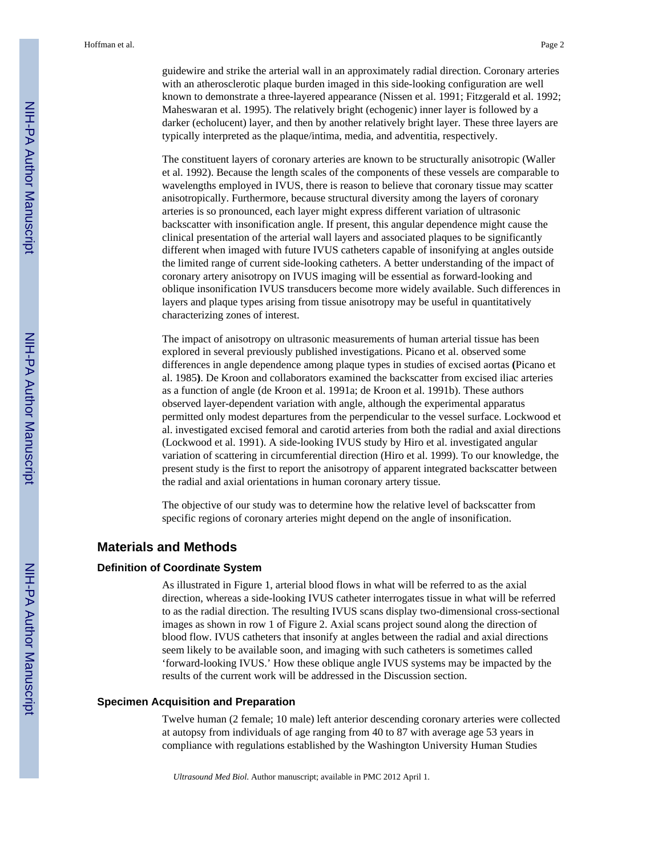guidewire and strike the arterial wall in an approximately radial direction. Coronary arteries with an atherosclerotic plaque burden imaged in this side-looking configuration are well known to demonstrate a three-layered appearance (Nissen et al. 1991; Fitzgerald et al. 1992; Maheswaran et al. 1995). The relatively bright (echogenic) inner layer is followed by a darker (echolucent) layer, and then by another relatively bright layer. These three layers are typically interpreted as the plaque/intima, media, and adventitia, respectively.

The constituent layers of coronary arteries are known to be structurally anisotropic (Waller et al. 1992). Because the length scales of the components of these vessels are comparable to wavelengths employed in IVUS, there is reason to believe that coronary tissue may scatter anisotropically. Furthermore, because structural diversity among the layers of coronary arteries is so pronounced, each layer might express different variation of ultrasonic backscatter with insonification angle. If present, this angular dependence might cause the clinical presentation of the arterial wall layers and associated plaques to be significantly different when imaged with future IVUS catheters capable of insonifying at angles outside the limited range of current side-looking catheters. A better understanding of the impact of coronary artery anisotropy on IVUS imaging will be essential as forward-looking and oblique insonification IVUS transducers become more widely available. Such differences in layers and plaque types arising from tissue anisotropy may be useful in quantitatively characterizing zones of interest.

The impact of anisotropy on ultrasonic measurements of human arterial tissue has been explored in several previously published investigations. Picano et al. observed some differences in angle dependence among plaque types in studies of excised aortas **(**Picano et al. 1985**)**. De Kroon and collaborators examined the backscatter from excised iliac arteries as a function of angle (de Kroon et al. 1991a; de Kroon et al. 1991b). These authors observed layer-dependent variation with angle, although the experimental apparatus permitted only modest departures from the perpendicular to the vessel surface. Lockwood et al. investigated excised femoral and carotid arteries from both the radial and axial directions (Lockwood et al. 1991). A side-looking IVUS study by Hiro et al. investigated angular variation of scattering in circumferential direction (Hiro et al. 1999). To our knowledge, the present study is the first to report the anisotropy of apparent integrated backscatter between the radial and axial orientations in human coronary artery tissue.

The objective of our study was to determine how the relative level of backscatter from specific regions of coronary arteries might depend on the angle of insonification.

## **Materials and Methods**

#### **Definition of Coordinate System**

As illustrated in Figure 1, arterial blood flows in what will be referred to as the axial direction, whereas a side-looking IVUS catheter interrogates tissue in what will be referred to as the radial direction. The resulting IVUS scans display two-dimensional cross-sectional images as shown in row 1 of Figure 2. Axial scans project sound along the direction of blood flow. IVUS catheters that insonify at angles between the radial and axial directions seem likely to be available soon, and imaging with such catheters is sometimes called 'forward-looking IVUS.' How these oblique angle IVUS systems may be impacted by the results of the current work will be addressed in the Discussion section.

#### **Specimen Acquisition and Preparation**

Twelve human (2 female; 10 male) left anterior descending coronary arteries were collected at autopsy from individuals of age ranging from 40 to 87 with average age 53 years in compliance with regulations established by the Washington University Human Studies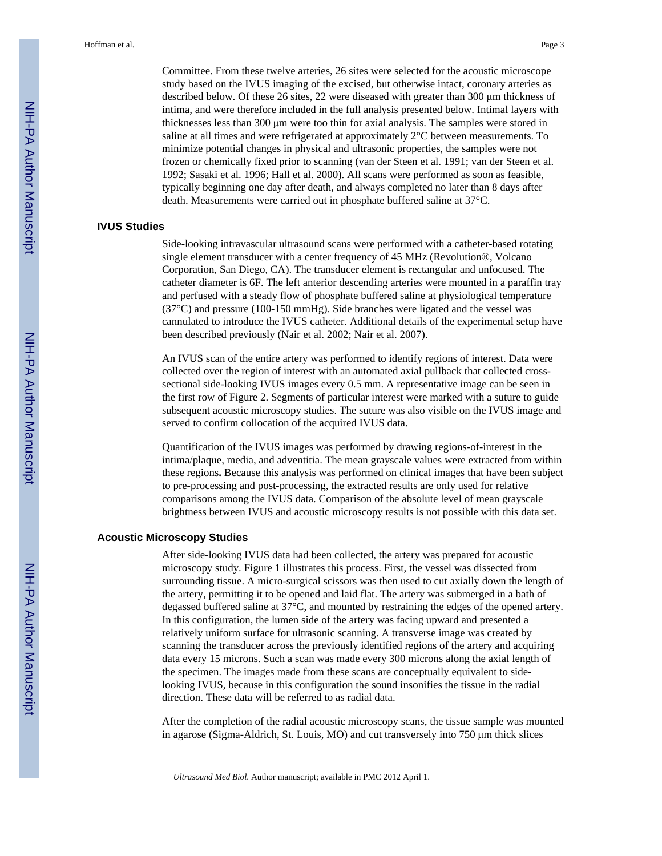Committee. From these twelve arteries, 26 sites were selected for the acoustic microscope study based on the IVUS imaging of the excised, but otherwise intact, coronary arteries as described below. Of these 26 sites, 22 were diseased with greater than 300 μm thickness of intima, and were therefore included in the full analysis presented below. Intimal layers with thicknesses less than 300 μm were too thin for axial analysis. The samples were stored in

saline at all times and were refrigerated at approximately 2°C between measurements. To minimize potential changes in physical and ultrasonic properties, the samples were not frozen or chemically fixed prior to scanning (van der Steen et al. 1991; van der Steen et al. 1992; Sasaki et al. 1996; Hall et al. 2000). All scans were performed as soon as feasible, typically beginning one day after death, and always completed no later than 8 days after death. Measurements were carried out in phosphate buffered saline at 37°C.

#### **IVUS Studies**

Side-looking intravascular ultrasound scans were performed with a catheter-based rotating single element transducer with a center frequency of 45 MHz (Revolution®, Volcano Corporation, San Diego, CA). The transducer element is rectangular and unfocused. The catheter diameter is 6F. The left anterior descending arteries were mounted in a paraffin tray and perfused with a steady flow of phosphate buffered saline at physiological temperature (37°C) and pressure (100-150 mmHg). Side branches were ligated and the vessel was cannulated to introduce the IVUS catheter. Additional details of the experimental setup have been described previously (Nair et al. 2002; Nair et al. 2007).

An IVUS scan of the entire artery was performed to identify regions of interest. Data were collected over the region of interest with an automated axial pullback that collected crosssectional side-looking IVUS images every 0.5 mm. A representative image can be seen in the first row of Figure 2. Segments of particular interest were marked with a suture to guide subsequent acoustic microscopy studies. The suture was also visible on the IVUS image and served to confirm collocation of the acquired IVUS data.

Quantification of the IVUS images was performed by drawing regions-of-interest in the intima/plaque, media, and adventitia. The mean grayscale values were extracted from within these regions**.** Because this analysis was performed on clinical images that have been subject to pre-processing and post-processing, the extracted results are only used for relative comparisons among the IVUS data. Comparison of the absolute level of mean grayscale brightness between IVUS and acoustic microscopy results is not possible with this data set.

#### **Acoustic Microscopy Studies**

After side-looking IVUS data had been collected, the artery was prepared for acoustic microscopy study. Figure 1 illustrates this process. First, the vessel was dissected from surrounding tissue. A micro-surgical scissors was then used to cut axially down the length of the artery, permitting it to be opened and laid flat. The artery was submerged in a bath of degassed buffered saline at 37°C, and mounted by restraining the edges of the opened artery. In this configuration, the lumen side of the artery was facing upward and presented a relatively uniform surface for ultrasonic scanning. A transverse image was created by scanning the transducer across the previously identified regions of the artery and acquiring data every 15 microns. Such a scan was made every 300 microns along the axial length of the specimen. The images made from these scans are conceptually equivalent to sidelooking IVUS, because in this configuration the sound insonifies the tissue in the radial direction. These data will be referred to as radial data.

After the completion of the radial acoustic microscopy scans, the tissue sample was mounted in agarose (Sigma-Aldrich, St. Louis, MO) and cut transversely into 750 μm thick slices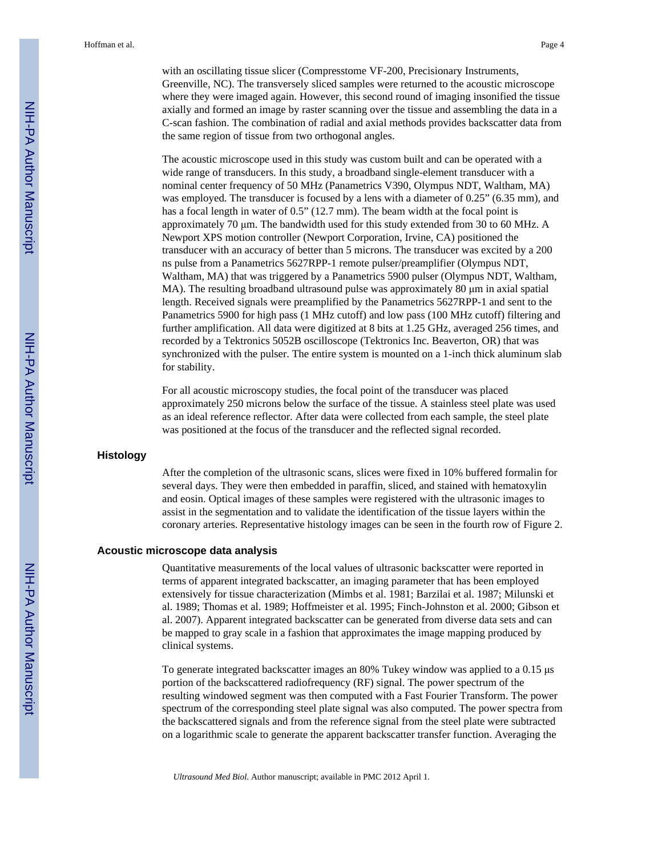with an oscillating tissue slicer (Compresstome VF-200, Precisionary Instruments, Greenville, NC). The transversely sliced samples were returned to the acoustic microscope where they were imaged again. However, this second round of imaging insonified the tissue axially and formed an image by raster scanning over the tissue and assembling the data in a C-scan fashion. The combination of radial and axial methods provides backscatter data from the same region of tissue from two orthogonal angles.

The acoustic microscope used in this study was custom built and can be operated with a wide range of transducers. In this study, a broadband single-element transducer with a nominal center frequency of 50 MHz (Panametrics V390, Olympus NDT, Waltham, MA) was employed. The transducer is focused by a lens with a diameter of 0.25" (6.35 mm), and has a focal length in water of 0.5" (12.7 mm). The beam width at the focal point is approximately 70 μm. The bandwidth used for this study extended from 30 to 60 MHz. A Newport XPS motion controller (Newport Corporation, Irvine, CA) positioned the transducer with an accuracy of better than 5 microns. The transducer was excited by a 200 ns pulse from a Panametrics 5627RPP-1 remote pulser/preamplifier (Olympus NDT, Waltham, MA) that was triggered by a Panametrics 5900 pulser (Olympus NDT, Waltham, MA). The resulting broadband ultrasound pulse was approximately 80 μm in axial spatial length. Received signals were preamplified by the Panametrics 5627RPP-1 and sent to the Panametrics 5900 for high pass (1 MHz cutoff) and low pass (100 MHz cutoff) filtering and further amplification. All data were digitized at 8 bits at 1.25 GHz, averaged 256 times, and recorded by a Tektronics 5052B oscilloscope (Tektronics Inc. Beaverton, OR) that was synchronized with the pulser. The entire system is mounted on a 1-inch thick aluminum slab for stability.

For all acoustic microscopy studies, the focal point of the transducer was placed approximately 250 microns below the surface of the tissue. A stainless steel plate was used as an ideal reference reflector. After data were collected from each sample, the steel plate was positioned at the focus of the transducer and the reflected signal recorded.

#### **Histology**

After the completion of the ultrasonic scans, slices were fixed in 10% buffered formalin for several days. They were then embedded in paraffin, sliced, and stained with hematoxylin and eosin. Optical images of these samples were registered with the ultrasonic images to assist in the segmentation and to validate the identification of the tissue layers within the coronary arteries. Representative histology images can be seen in the fourth row of Figure 2.

#### **Acoustic microscope data analysis**

Quantitative measurements of the local values of ultrasonic backscatter were reported in terms of apparent integrated backscatter, an imaging parameter that has been employed extensively for tissue characterization (Mimbs et al. 1981; Barzilai et al. 1987; Milunski et al. 1989; Thomas et al. 1989; Hoffmeister et al. 1995; Finch-Johnston et al. 2000; Gibson et al. 2007). Apparent integrated backscatter can be generated from diverse data sets and can be mapped to gray scale in a fashion that approximates the image mapping produced by clinical systems.

To generate integrated backscatter images an 80% Tukey window was applied to a 0.15 μs portion of the backscattered radiofrequency (RF) signal. The power spectrum of the resulting windowed segment was then computed with a Fast Fourier Transform. The power spectrum of the corresponding steel plate signal was also computed. The power spectra from the backscattered signals and from the reference signal from the steel plate were subtracted on a logarithmic scale to generate the apparent backscatter transfer function. Averaging the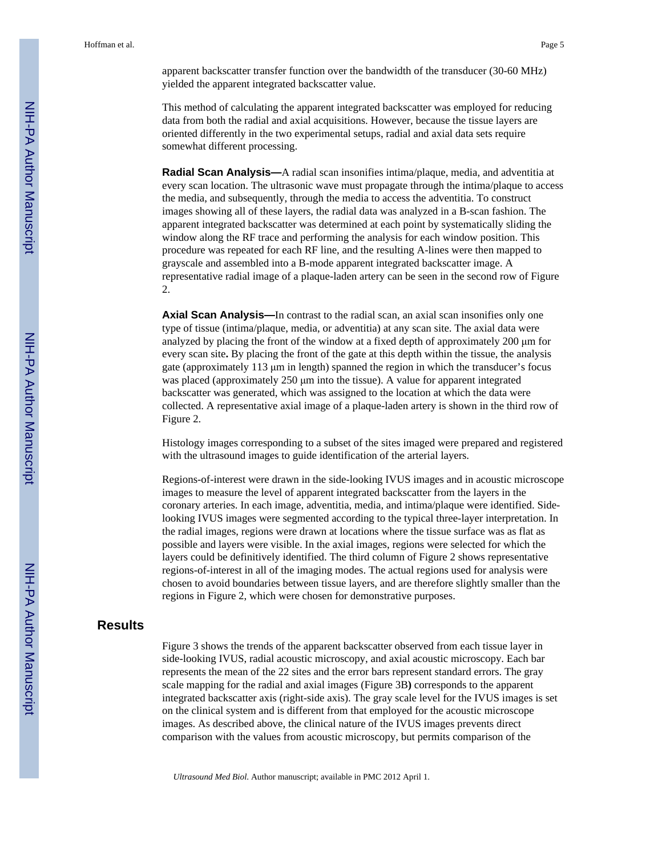Hoffman et al. Page 5

apparent backscatter transfer function over the bandwidth of the transducer (30-60 MHz) yielded the apparent integrated backscatter value.

This method of calculating the apparent integrated backscatter was employed for reducing data from both the radial and axial acquisitions. However, because the tissue layers are oriented differently in the two experimental setups, radial and axial data sets require somewhat different processing.

**Radial Scan Analysis—**A radial scan insonifies intima/plaque, media, and adventitia at every scan location. The ultrasonic wave must propagate through the intima/plaque to access the media, and subsequently, through the media to access the adventitia. To construct images showing all of these layers, the radial data was analyzed in a B-scan fashion. The apparent integrated backscatter was determined at each point by systematically sliding the window along the RF trace and performing the analysis for each window position. This procedure was repeated for each RF line, and the resulting A-lines were then mapped to grayscale and assembled into a B-mode apparent integrated backscatter image. A representative radial image of a plaque-laden artery can be seen in the second row of Figure 2.

Axial Scan Analysis—In contrast to the radial scan, an axial scan insonifies only one type of tissue (intima/plaque, media, or adventitia) at any scan site. The axial data were analyzed by placing the front of the window at a fixed depth of approximately 200 μm for every scan site**.** By placing the front of the gate at this depth within the tissue, the analysis gate (approximately 113 μm in length) spanned the region in which the transducer's focus was placed (approximately 250 μm into the tissue). A value for apparent integrated backscatter was generated, which was assigned to the location at which the data were collected. A representative axial image of a plaque-laden artery is shown in the third row of Figure 2.

Histology images corresponding to a subset of the sites imaged were prepared and registered with the ultrasound images to guide identification of the arterial layers.

Regions-of-interest were drawn in the side-looking IVUS images and in acoustic microscope images to measure the level of apparent integrated backscatter from the layers in the coronary arteries. In each image, adventitia, media, and intima/plaque were identified. Sidelooking IVUS images were segmented according to the typical three-layer interpretation. In the radial images, regions were drawn at locations where the tissue surface was as flat as possible and layers were visible. In the axial images, regions were selected for which the layers could be definitively identified. The third column of Figure 2 shows representative regions-of-interest in all of the imaging modes. The actual regions used for analysis were chosen to avoid boundaries between tissue layers, and are therefore slightly smaller than the regions in Figure 2, which were chosen for demonstrative purposes.

## **Results**

Figure 3 shows the trends of the apparent backscatter observed from each tissue layer in side-looking IVUS, radial acoustic microscopy, and axial acoustic microscopy. Each bar represents the mean of the 22 sites and the error bars represent standard errors. The gray scale mapping for the radial and axial images (Figure 3B**)** corresponds to the apparent integrated backscatter axis (right-side axis). The gray scale level for the IVUS images is set on the clinical system and is different from that employed for the acoustic microscope images. As described above, the clinical nature of the IVUS images prevents direct comparison with the values from acoustic microscopy, but permits comparison of the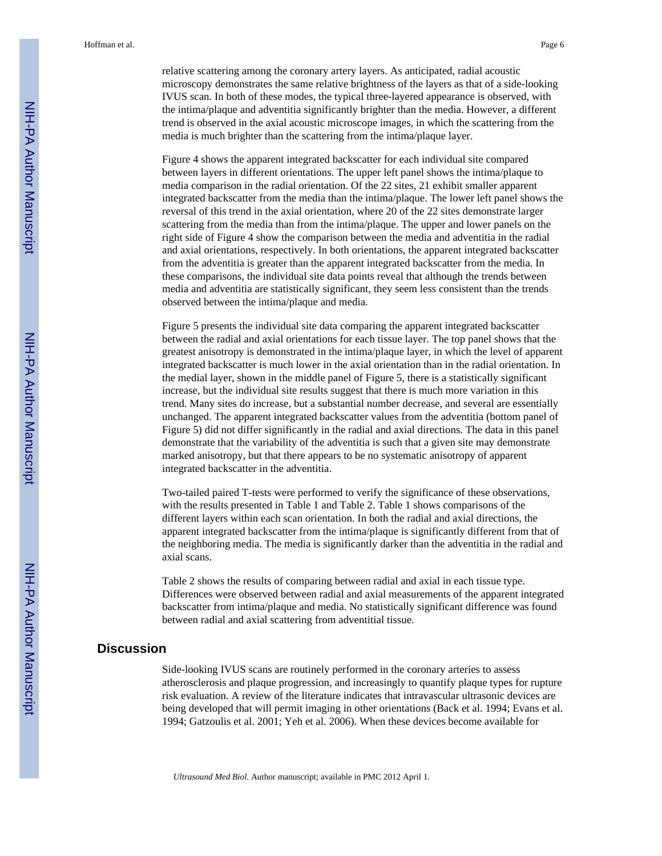relative scattering among the coronary artery layers. As anticipated, radial acoustic microscopy demonstrates the same relative brightness of the layers as that of a side-looking IVUS scan. In both of these modes, the typical three-layered appearance is observed, with the intima/plaque and adventitia significantly brighter than the media. However, a different trend is observed in the axial acoustic microscope images, in which the scattering from the media is much brighter than the scattering from the intima/plaque layer.

Figure 4 shows the apparent integrated backscatter for each individual site compared between layers in different orientations. The upper left panel shows the intima/plaque to media comparison in the radial orientation. Of the 22 sites, 21 exhibit smaller apparent integrated backscatter from the media than the intima/plaque. The lower left panel shows the reversal of this trend in the axial orientation, where 20 of the 22 sites demonstrate larger scattering from the media than from the intima/plaque. The upper and lower panels on the right side of Figure 4 show the comparison between the media and adventitia in the radial and axial orientations, respectively. In both orientations, the apparent integrated backscatter from the adventitia is greater than the apparent integrated backscatter from the media. In these comparisons, the individual site data points reveal that although the trends between media and adventitia are statistically significant, they seem less consistent than the trends observed between the intima/plaque and media.

Figure 5 presents the individual site data comparing the apparent integrated backscatter between the radial and axial orientations for each tissue layer. The top panel shows that the greatest anisotropy is demonstrated in the intima/plaque layer, in which the level of apparent integrated backscatter is much lower in the axial orientation than in the radial orientation. In the medial layer, shown in the middle panel of Figure 5, there is a statistically significant increase, but the individual site results suggest that there is much more variation in this trend. Many sites do increase, but a substantial number decrease, and several are essentially unchanged. The apparent integrated backscatter values from the adventitia (bottom panel of Figure 5) did not differ significantly in the radial and axial directions. The data in this panel demonstrate that the variability of the adventitia is such that a given site may demonstrate marked anisotropy, but that there appears to be no systematic anisotropy of apparent integrated backscatter in the adventitia.

Two-tailed paired T-tests were performed to verify the significance of these observations, with the results presented in Table 1 and Table 2. Table 1 shows comparisons of the different layers within each scan orientation. In both the radial and axial directions, the apparent integrated backscatter from the intima/plaque is significantly different from that of the neighboring media. The media is significantly darker than the adventitia in the radial and axial scans.

Table 2 shows the results of comparing between radial and axial in each tissue type. Differences were observed between radial and axial measurements of the apparent integrated backscatter from intima/plaque and media. No statistically significant difference was found between radial and axial scattering from adventitial tissue.

## **Discussion**

Side-looking IVUS scans are routinely performed in the coronary arteries to assess atherosclerosis and plaque progression, and increasingly to quantify plaque types for rupture risk evaluation. A review of the literature indicates that intravascular ultrasonic devices are being developed that will permit imaging in other orientations (Back et al. 1994; Evans et al. 1994; Gatzoulis et al. 2001; Yeh et al. 2006). When these devices become available for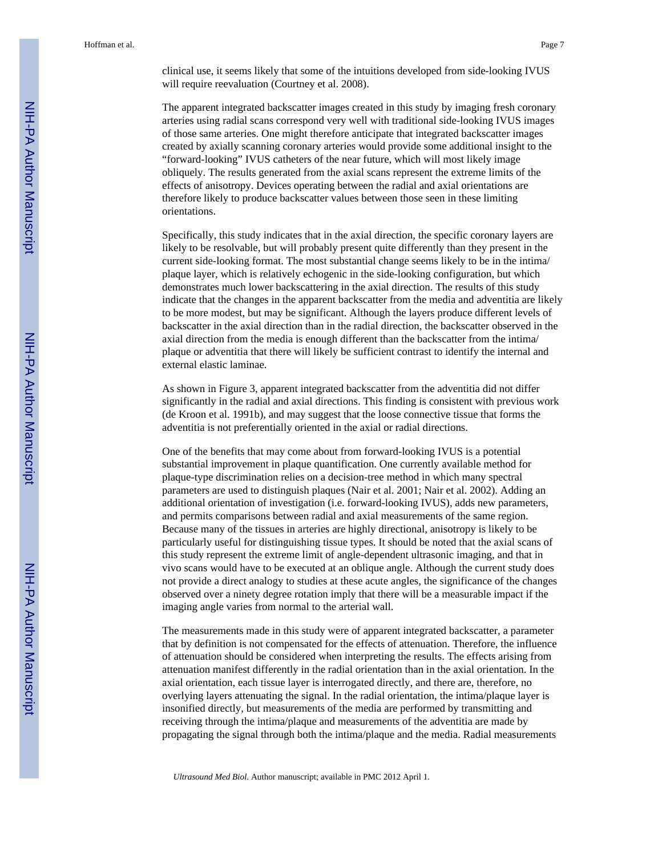clinical use, it seems likely that some of the intuitions developed from side-looking IVUS will require reevaluation (Courtney et al. 2008).

The apparent integrated backscatter images created in this study by imaging fresh coronary arteries using radial scans correspond very well with traditional side-looking IVUS images of those same arteries. One might therefore anticipate that integrated backscatter images created by axially scanning coronary arteries would provide some additional insight to the "forward-looking" IVUS catheters of the near future, which will most likely image obliquely. The results generated from the axial scans represent the extreme limits of the effects of anisotropy. Devices operating between the radial and axial orientations are therefore likely to produce backscatter values between those seen in these limiting orientations.

Specifically, this study indicates that in the axial direction, the specific coronary layers are likely to be resolvable, but will probably present quite differently than they present in the current side-looking format. The most substantial change seems likely to be in the intima/ plaque layer, which is relatively echogenic in the side-looking configuration, but which demonstrates much lower backscattering in the axial direction. The results of this study indicate that the changes in the apparent backscatter from the media and adventitia are likely to be more modest, but may be significant. Although the layers produce different levels of backscatter in the axial direction than in the radial direction, the backscatter observed in the axial direction from the media is enough different than the backscatter from the intima/ plaque or adventitia that there will likely be sufficient contrast to identify the internal and external elastic laminae.

As shown in Figure 3, apparent integrated backscatter from the adventitia did not differ significantly in the radial and axial directions. This finding is consistent with previous work (de Kroon et al. 1991b), and may suggest that the loose connective tissue that forms the adventitia is not preferentially oriented in the axial or radial directions.

One of the benefits that may come about from forward-looking IVUS is a potential substantial improvement in plaque quantification. One currently available method for plaque-type discrimination relies on a decision-tree method in which many spectral parameters are used to distinguish plaques (Nair et al. 2001; Nair et al. 2002). Adding an additional orientation of investigation (i.e. forward-looking IVUS), adds new parameters, and permits comparisons between radial and axial measurements of the same region. Because many of the tissues in arteries are highly directional, anisotropy is likely to be particularly useful for distinguishing tissue types. It should be noted that the axial scans of this study represent the extreme limit of angle-dependent ultrasonic imaging, and that in vivo scans would have to be executed at an oblique angle. Although the current study does not provide a direct analogy to studies at these acute angles, the significance of the changes observed over a ninety degree rotation imply that there will be a measurable impact if the imaging angle varies from normal to the arterial wall.

The measurements made in this study were of apparent integrated backscatter, a parameter that by definition is not compensated for the effects of attenuation. Therefore, the influence of attenuation should be considered when interpreting the results. The effects arising from attenuation manifest differently in the radial orientation than in the axial orientation. In the axial orientation, each tissue layer is interrogated directly, and there are, therefore, no overlying layers attenuating the signal. In the radial orientation, the intima/plaque layer is insonified directly, but measurements of the media are performed by transmitting and receiving through the intima/plaque and measurements of the adventitia are made by propagating the signal through both the intima/plaque and the media. Radial measurements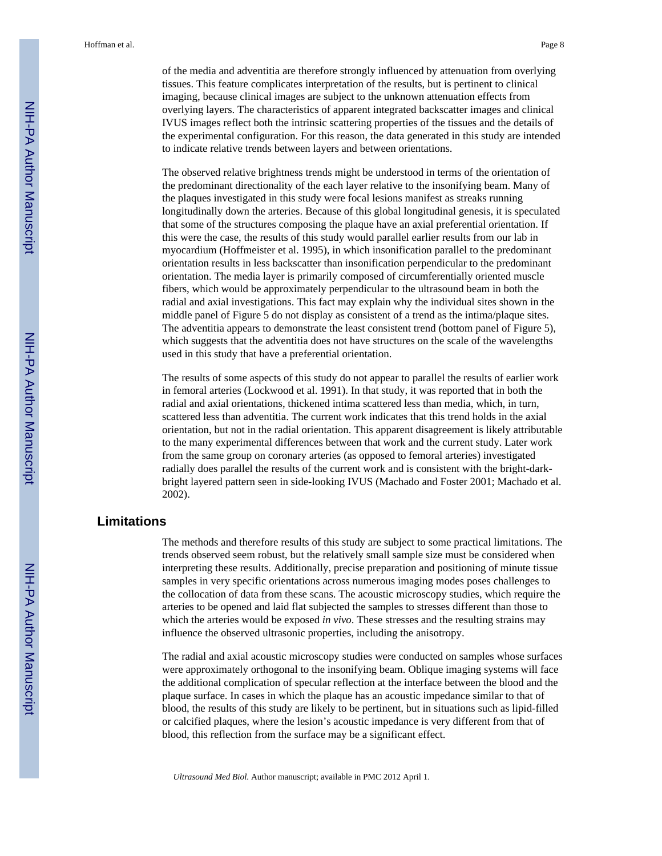of the media and adventitia are therefore strongly influenced by attenuation from overlying tissues. This feature complicates interpretation of the results, but is pertinent to clinical imaging, because clinical images are subject to the unknown attenuation effects from overlying layers. The characteristics of apparent integrated backscatter images and clinical IVUS images reflect both the intrinsic scattering properties of the tissues and the details of the experimental configuration. For this reason, the data generated in this study are intended to indicate relative trends between layers and between orientations.

The observed relative brightness trends might be understood in terms of the orientation of the predominant directionality of the each layer relative to the insonifying beam. Many of the plaques investigated in this study were focal lesions manifest as streaks running longitudinally down the arteries. Because of this global longitudinal genesis, it is speculated that some of the structures composing the plaque have an axial preferential orientation. If this were the case, the results of this study would parallel earlier results from our lab in myocardium (Hoffmeister et al. 1995), in which insonification parallel to the predominant orientation results in less backscatter than insonification perpendicular to the predominant orientation. The media layer is primarily composed of circumferentially oriented muscle fibers, which would be approximately perpendicular to the ultrasound beam in both the radial and axial investigations. This fact may explain why the individual sites shown in the middle panel of Figure 5 do not display as consistent of a trend as the intima/plaque sites. The adventitia appears to demonstrate the least consistent trend (bottom panel of Figure 5), which suggests that the adventitia does not have structures on the scale of the wavelengths used in this study that have a preferential orientation.

The results of some aspects of this study do not appear to parallel the results of earlier work in femoral arteries (Lockwood et al. 1991). In that study, it was reported that in both the radial and axial orientations, thickened intima scattered less than media, which, in turn, scattered less than adventitia. The current work indicates that this trend holds in the axial orientation, but not in the radial orientation. This apparent disagreement is likely attributable to the many experimental differences between that work and the current study. Later work from the same group on coronary arteries (as opposed to femoral arteries) investigated radially does parallel the results of the current work and is consistent with the bright-darkbright layered pattern seen in side-looking IVUS (Machado and Foster 2001; Machado et al. 2002).

## **Limitations**

The methods and therefore results of this study are subject to some practical limitations. The trends observed seem robust, but the relatively small sample size must be considered when interpreting these results. Additionally, precise preparation and positioning of minute tissue samples in very specific orientations across numerous imaging modes poses challenges to the collocation of data from these scans. The acoustic microscopy studies, which require the arteries to be opened and laid flat subjected the samples to stresses different than those to which the arteries would be exposed *in vivo*. These stresses and the resulting strains may influence the observed ultrasonic properties, including the anisotropy.

The radial and axial acoustic microscopy studies were conducted on samples whose surfaces were approximately orthogonal to the insonifying beam. Oblique imaging systems will face the additional complication of specular reflection at the interface between the blood and the plaque surface. In cases in which the plaque has an acoustic impedance similar to that of blood, the results of this study are likely to be pertinent, but in situations such as lipid-filled or calcified plaques, where the lesion's acoustic impedance is very different from that of blood, this reflection from the surface may be a significant effect.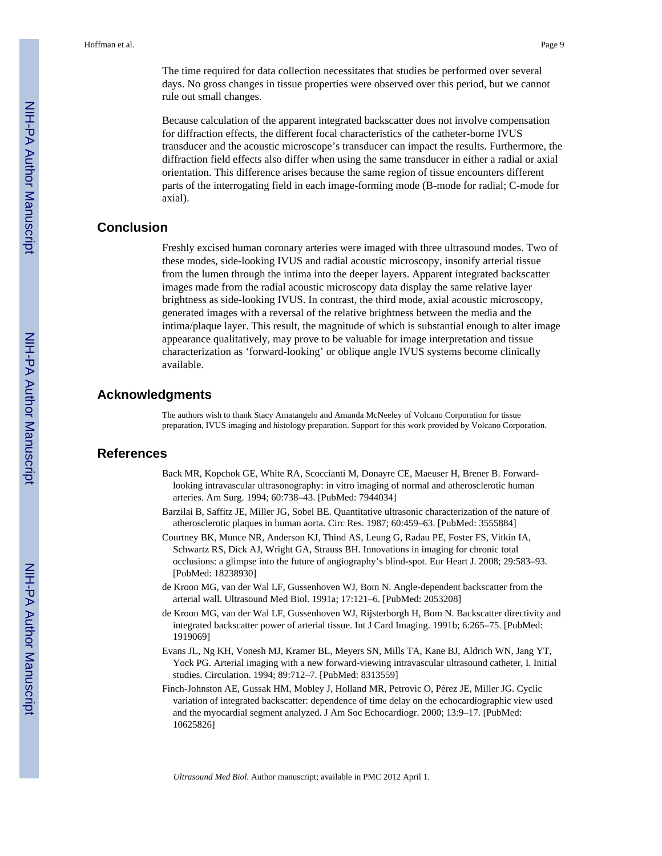The time required for data collection necessitates that studies be performed over several days. No gross changes in tissue properties were observed over this period, but we cannot rule out small changes.

Because calculation of the apparent integrated backscatter does not involve compensation for diffraction effects, the different focal characteristics of the catheter-borne IVUS transducer and the acoustic microscope's transducer can impact the results. Furthermore, the diffraction field effects also differ when using the same transducer in either a radial or axial orientation. This difference arises because the same region of tissue encounters different parts of the interrogating field in each image-forming mode (B-mode for radial; C-mode for axial).

## **Conclusion**

Freshly excised human coronary arteries were imaged with three ultrasound modes. Two of these modes, side-looking IVUS and radial acoustic microscopy, insonify arterial tissue from the lumen through the intima into the deeper layers. Apparent integrated backscatter images made from the radial acoustic microscopy data display the same relative layer brightness as side-looking IVUS. In contrast, the third mode, axial acoustic microscopy, generated images with a reversal of the relative brightness between the media and the intima/plaque layer. This result, the magnitude of which is substantial enough to alter image appearance qualitatively, may prove to be valuable for image interpretation and tissue characterization as 'forward-looking' or oblique angle IVUS systems become clinically available.

#### **Acknowledgments**

The authors wish to thank Stacy Amatangelo and Amanda McNeeley of Volcano Corporation for tissue preparation, IVUS imaging and histology preparation. Support for this work provided by Volcano Corporation.

#### **References**

- Back MR, Kopchok GE, White RA, Scoccianti M, Donayre CE, Maeuser H, Brener B. Forwardlooking intravascular ultrasonography: in vitro imaging of normal and atherosclerotic human arteries. Am Surg. 1994; 60:738–43. [PubMed: 7944034]
- Barzilai B, Saffitz JE, Miller JG, Sobel BE. Quantitative ultrasonic characterization of the nature of atherosclerotic plaques in human aorta. Circ Res. 1987; 60:459–63. [PubMed: 3555884]
- Courtney BK, Munce NR, Anderson KJ, Thind AS, Leung G, Radau PE, Foster FS, Vitkin IA, Schwartz RS, Dick AJ, Wright GA, Strauss BH. Innovations in imaging for chronic total occlusions: a glimpse into the future of angiography's blind-spot. Eur Heart J. 2008; 29:583–93. [PubMed: 18238930]
- de Kroon MG, van der Wal LF, Gussenhoven WJ, Bom N. Angle-dependent backscatter from the arterial wall. Ultrasound Med Biol. 1991a; 17:121–6. [PubMed: 2053208]
- de Kroon MG, van der Wal LF, Gussenhoven WJ, Rijsterborgh H, Bom N. Backscatter directivity and integrated backscatter power of arterial tissue. Int J Card Imaging. 1991b; 6:265–75. [PubMed: 1919069]
- Evans JL, Ng KH, Vonesh MJ, Kramer BL, Meyers SN, Mills TA, Kane BJ, Aldrich WN, Jang YT, Yock PG. Arterial imaging with a new forward-viewing intravascular ultrasound catheter, I. Initial studies. Circulation. 1994; 89:712–7. [PubMed: 8313559]
- Finch-Johnston AE, Gussak HM, Mobley J, Holland MR, Petrovic O, Pérez JE, Miller JG. Cyclic variation of integrated backscatter: dependence of time delay on the echocardiographic view used and the myocardial segment analyzed. J Am Soc Echocardiogr. 2000; 13:9–17. [PubMed: 10625826]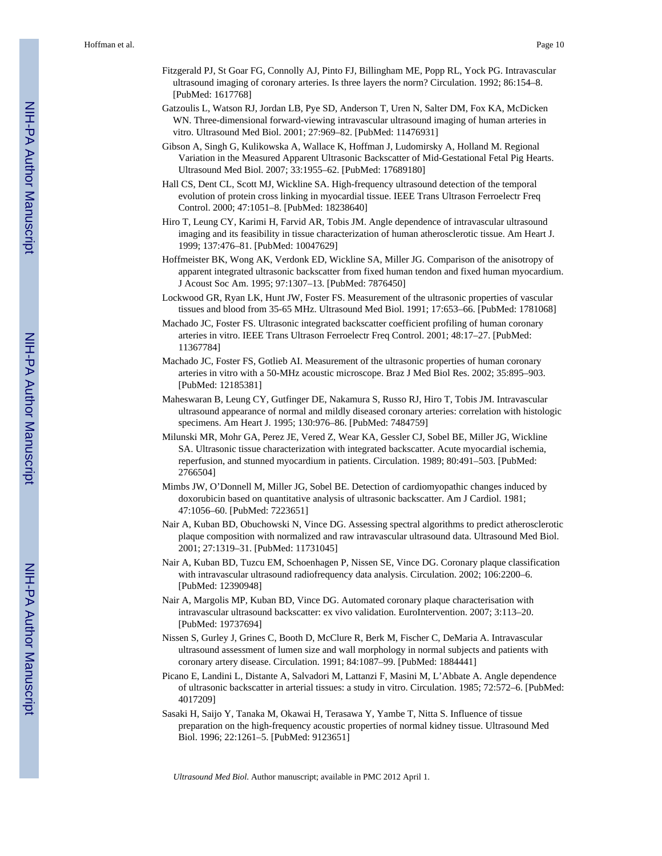- Fitzgerald PJ, St Goar FG, Connolly AJ, Pinto FJ, Billingham ME, Popp RL, Yock PG. Intravascular ultrasound imaging of coronary arteries. Is three layers the norm? Circulation. 1992; 86:154–8. [PubMed: 1617768]
- Gatzoulis L, Watson RJ, Jordan LB, Pye SD, Anderson T, Uren N, Salter DM, Fox KA, McDicken WN. Three-dimensional forward-viewing intravascular ultrasound imaging of human arteries in vitro. Ultrasound Med Biol. 2001; 27:969–82. [PubMed: 11476931]
- Gibson A, Singh G, Kulikowska A, Wallace K, Hoffman J, Ludomirsky A, Holland M. Regional Variation in the Measured Apparent Ultrasonic Backscatter of Mid-Gestational Fetal Pig Hearts. Ultrasound Med Biol. 2007; 33:1955–62. [PubMed: 17689180]
- Hall CS, Dent CL, Scott MJ, Wickline SA. High-frequency ultrasound detection of the temporal evolution of protein cross linking in myocardial tissue. IEEE Trans Ultrason Ferroelectr Freq Control. 2000; 47:1051–8. [PubMed: 18238640]
- Hiro T, Leung CY, Karimi H, Farvid AR, Tobis JM. Angle dependence of intravascular ultrasound imaging and its feasibility in tissue characterization of human atherosclerotic tissue. Am Heart J. 1999; 137:476–81. [PubMed: 10047629]
- Hoffmeister BK, Wong AK, Verdonk ED, Wickline SA, Miller JG. Comparison of the anisotropy of apparent integrated ultrasonic backscatter from fixed human tendon and fixed human myocardium. J Acoust Soc Am. 1995; 97:1307–13. [PubMed: 7876450]
- Lockwood GR, Ryan LK, Hunt JW, Foster FS. Measurement of the ultrasonic properties of vascular tissues and blood from 35-65 MHz. Ultrasound Med Biol. 1991; 17:653–66. [PubMed: 1781068]
- Machado JC, Foster FS. Ultrasonic integrated backscatter coefficient profiling of human coronary arteries in vitro. IEEE Trans Ultrason Ferroelectr Freq Control. 2001; 48:17–27. [PubMed: 11367784]
- Machado JC, Foster FS, Gotlieb AI. Measurement of the ultrasonic properties of human coronary arteries in vitro with a 50-MHz acoustic microscope. Braz J Med Biol Res. 2002; 35:895–903. [PubMed: 12185381]
- Maheswaran B, Leung CY, Gutfinger DE, Nakamura S, Russo RJ, Hiro T, Tobis JM. Intravascular ultrasound appearance of normal and mildly diseased coronary arteries: correlation with histologic specimens. Am Heart J. 1995; 130:976–86. [PubMed: 7484759]
- Milunski MR, Mohr GA, Perez JE, Vered Z, Wear KA, Gessler CJ, Sobel BE, Miller JG, Wickline SA. Ultrasonic tissue characterization with integrated backscatter. Acute myocardial ischemia, reperfusion, and stunned myocardium in patients. Circulation. 1989; 80:491–503. [PubMed: 2766504]
- Mimbs JW, O'Donnell M, Miller JG, Sobel BE. Detection of cardiomyopathic changes induced by doxorubicin based on quantitative analysis of ultrasonic backscatter. Am J Cardiol. 1981; 47:1056–60. [PubMed: 7223651]
- Nair A, Kuban BD, Obuchowski N, Vince DG. Assessing spectral algorithms to predict atherosclerotic plaque composition with normalized and raw intravascular ultrasound data. Ultrasound Med Biol. 2001; 27:1319–31. [PubMed: 11731045]
- Nair A, Kuban BD, Tuzcu EM, Schoenhagen P, Nissen SE, Vince DG. Coronary plaque classification with intravascular ultrasound radiofrequency data analysis. Circulation. 2002; 106:2200–6. [PubMed: 12390948]
- Nair A, Margolis MP, Kuban BD, Vince DG. Automated coronary plaque characterisation with intravascular ultrasound backscatter: ex vivo validation. EuroIntervention. 2007; 3:113–20. [PubMed: 19737694]
- Nissen S, Gurley J, Grines C, Booth D, McClure R, Berk M, Fischer C, DeMaria A. Intravascular ultrasound assessment of lumen size and wall morphology in normal subjects and patients with coronary artery disease. Circulation. 1991; 84:1087–99. [PubMed: 1884441]
- Picano E, Landini L, Distante A, Salvadori M, Lattanzi F, Masini M, L'Abbate A. Angle dependence of ultrasonic backscatter in arterial tissues: a study in vitro. Circulation. 1985; 72:572–6. [PubMed: 4017209]
- Sasaki H, Saijo Y, Tanaka M, Okawai H, Terasawa Y, Yambe T, Nitta S. Influence of tissue preparation on the high-frequency acoustic properties of normal kidney tissue. Ultrasound Med Biol. 1996; 22:1261–5. [PubMed: 9123651]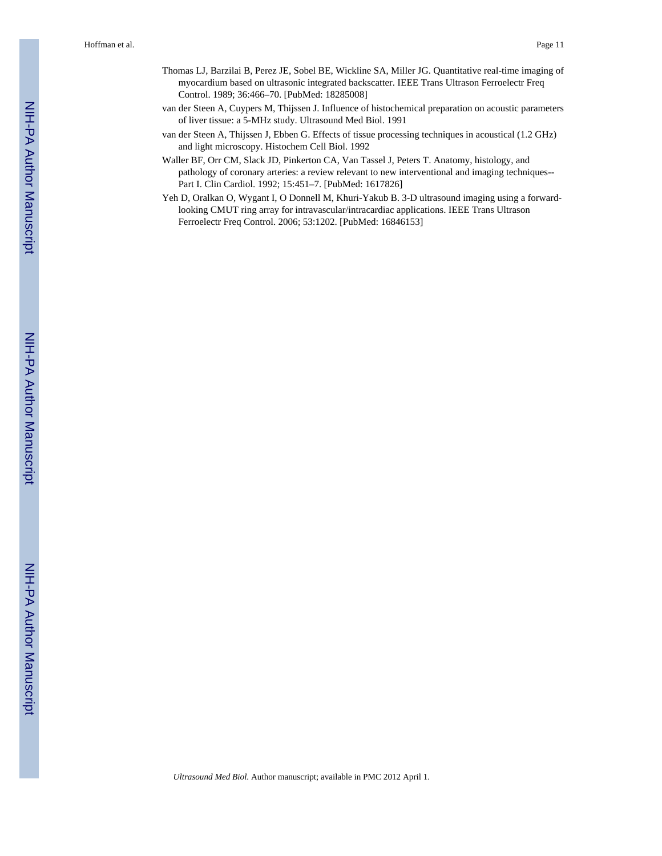- Thomas LJ, Barzilai B, Perez JE, Sobel BE, Wickline SA, Miller JG. Quantitative real-time imaging of myocardium based on ultrasonic integrated backscatter. IEEE Trans Ultrason Ferroelectr Freq Control. 1989; 36:466–70. [PubMed: 18285008]
- van der Steen A, Cuypers M, Thijssen J. Influence of histochemical preparation on acoustic parameters of liver tissue: a 5-MHz study. Ultrasound Med Biol. 1991
- van der Steen A, Thijssen J, Ebben G. Effects of tissue processing techniques in acoustical (1.2 GHz) and light microscopy. Histochem Cell Biol. 1992
- Waller BF, Orr CM, Slack JD, Pinkerton CA, Van Tassel J, Peters T. Anatomy, histology, and pathology of coronary arteries: a review relevant to new interventional and imaging techniques-- Part I. Clin Cardiol. 1992; 15:451–7. [PubMed: 1617826]
- Yeh D, Oralkan O, Wygant I, O Donnell M, Khuri-Yakub B. 3-D ultrasound imaging using a forwardlooking CMUT ring array for intravascular/intracardiac applications. IEEE Trans Ultrason Ferroelectr Freq Control. 2006; 53:1202. [PubMed: 16846153]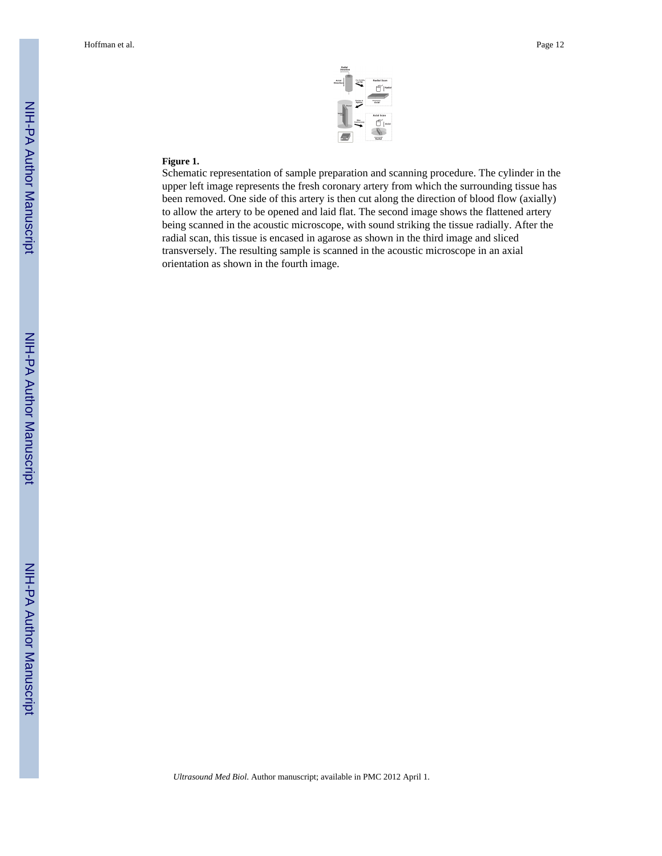

## **Figure 1.**

Schematic representation of sample preparation and scanning procedure. The cylinder in the upper left image represents the fresh coronary artery from which the surrounding tissue has been removed. One side of this artery is then cut along the direction of blood flow (axially) to allow the artery to be opened and laid flat. The second image shows the flattened artery being scanned in the acoustic microscope, with sound striking the tissue radially. After the radial scan, this tissue is encased in agarose as shown in the third image and sliced transversely. The resulting sample is scanned in the acoustic microscope in an axial orientation as shown in the fourth image.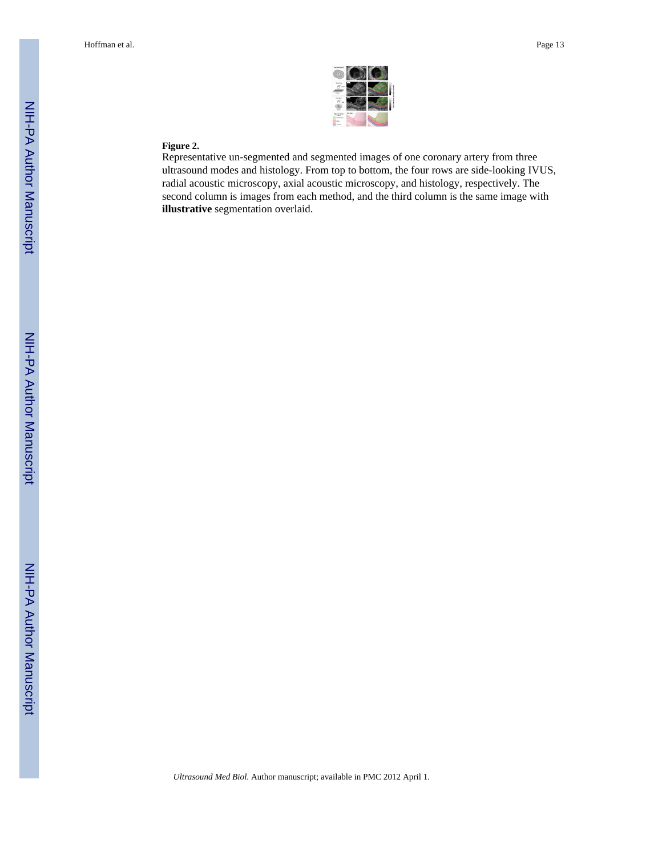

#### **Figure 2.**

Representative un-segmented and segmented images of one coronary artery from three ultrasound modes and histology. From top to bottom, the four rows are side-looking IVUS, radial acoustic microscopy, axial acoustic microscopy, and histology, respectively. The second column is images from each method, and the third column is the same image with **illustrative** segmentation overlaid.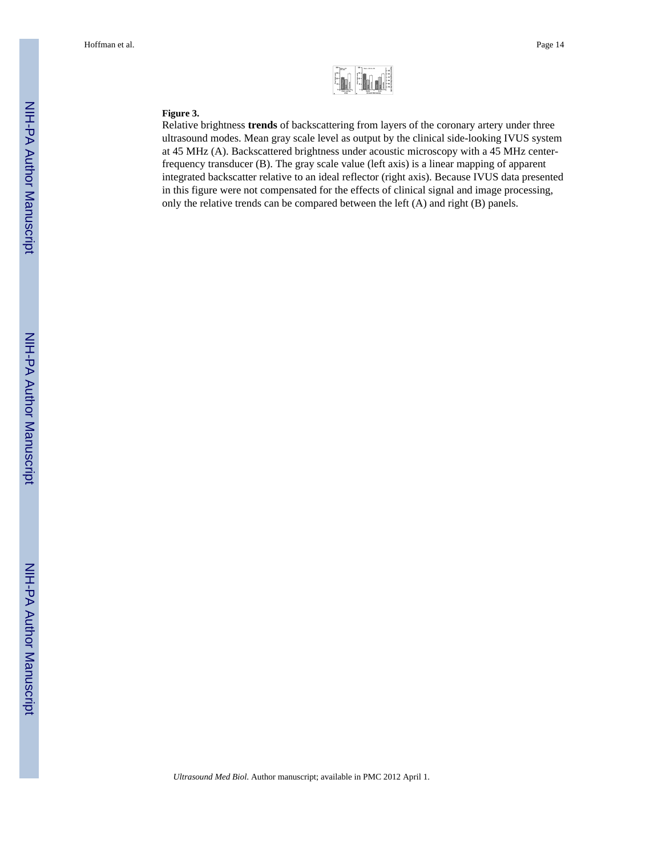

#### **Figure 3.**

Relative brightness **trends** of backscattering from layers of the coronary artery under three ultrasound modes. Mean gray scale level as output by the clinical side-looking IVUS system at 45 MHz (A). Backscattered brightness under acoustic microscopy with a 45 MHz centerfrequency transducer (B). The gray scale value (left axis) is a linear mapping of apparent integrated backscatter relative to an ideal reflector (right axis). Because IVUS data presented in this figure were not compensated for the effects of clinical signal and image processing, only the relative trends can be compared between the left (A) and right (B) panels.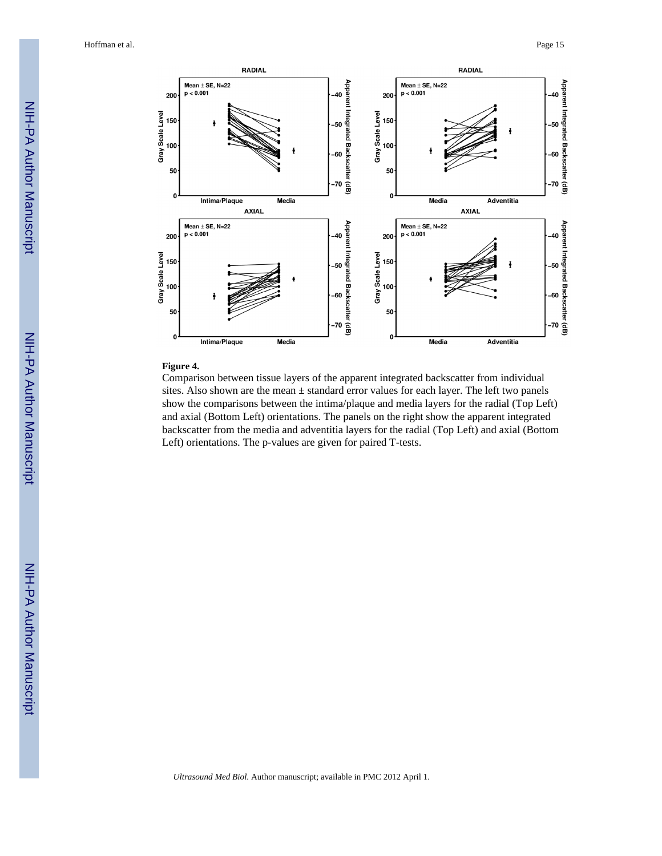Hoffman et al. Page 15



#### **Figure 4.**

Comparison between tissue layers of the apparent integrated backscatter from individual sites. Also shown are the mean  $\pm$  standard error values for each layer. The left two panels show the comparisons between the intima/plaque and media layers for the radial (Top Left) and axial (Bottom Left) orientations. The panels on the right show the apparent integrated backscatter from the media and adventitia layers for the radial (Top Left) and axial (Bottom Left) orientations. The p-values are given for paired T-tests.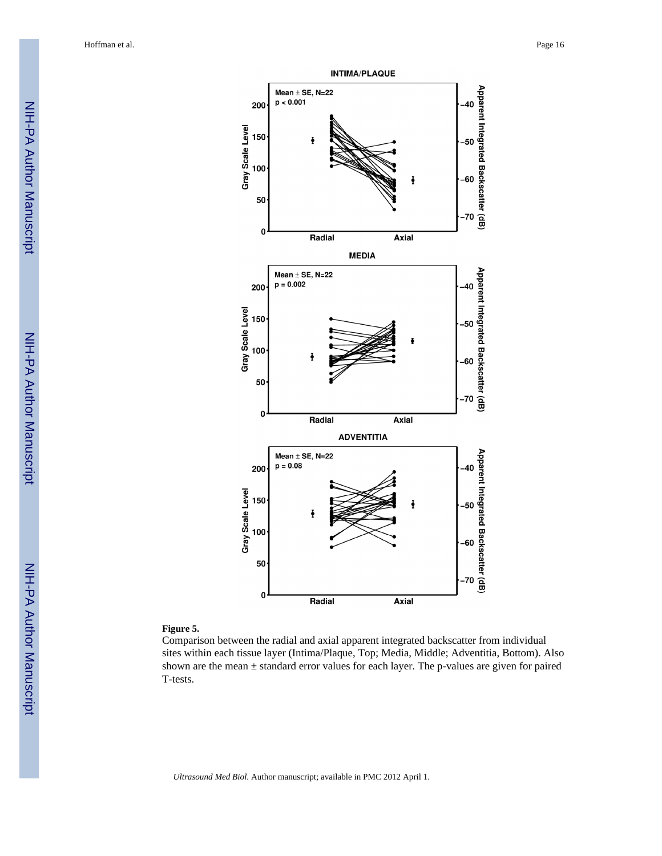NIH-PA Author Manuscript NIH-PA Author Manuscript



#### **Figure 5.**

Comparison between the radial and axial apparent integrated backscatter from individual sites within each tissue layer (Intima/Plaque, Top; Media, Middle; Adventitia, Bottom). Also shown are the mean ± standard error values for each layer. The p-values are given for paired T-tests.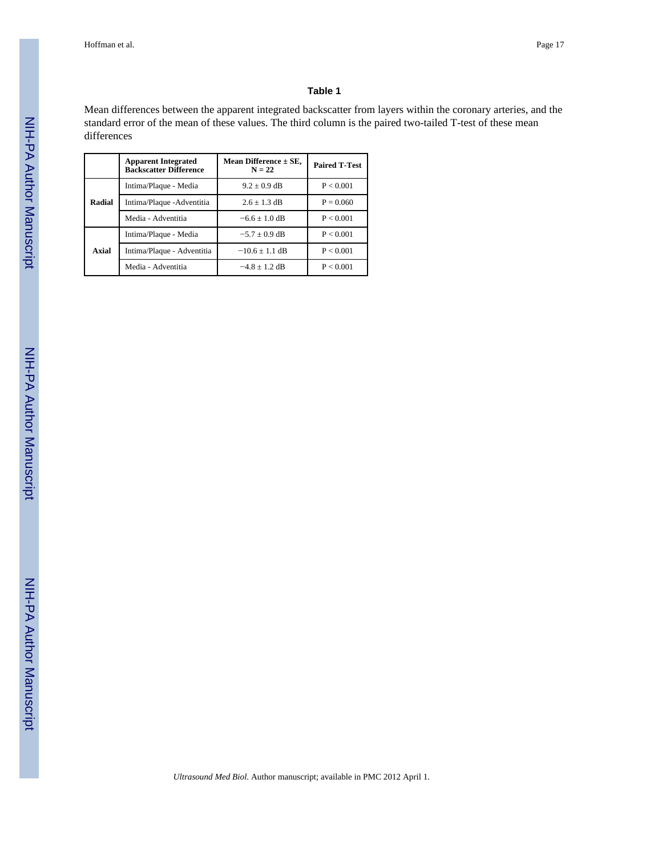#### **Table 1**

Mean differences between the apparent integrated backscatter from layers within the coronary arteries, and the standard error of the mean of these values. The third column is the paired two-tailed T-test of these mean differences

|        | <b>Apparent Integrated</b><br><b>Backscatter Difference</b> | Mean Difference $\pm$ SE,<br>$N = 22$ | <b>Paired T-Test</b> |
|--------|-------------------------------------------------------------|---------------------------------------|----------------------|
| Radial | Intima/Plaque - Media                                       | $9.2 \pm 0.9$ dB                      | P < 0.001            |
|        | Intima/Plaque - Adventitia                                  | $2.6 + 1.3$ dB                        | $P = 0.060$          |
|        | Media - Adventitia                                          | $-6.6 + 1.0$ dB                       | P < 0.001            |
| Axial  | Intima/Plaque - Media                                       | $-5.7 \pm 0.9$ dB                     | P < 0.001            |
|        | Intima/Plaque - Adventitia                                  | $-10.6 + 1.1$ dB                      | P < 0.001            |
|        | Media - Adventitia                                          | $-4.8 + 1.2$ dB                       | P < 0.001            |